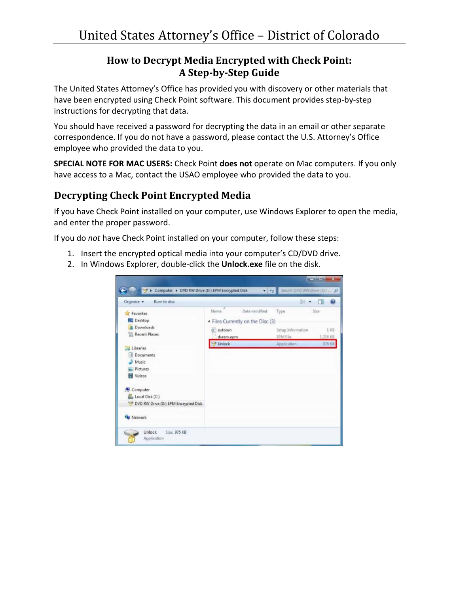## **How to Decrypt Media Encrypted with Check Point: A Step-by-Step Guide**

The United States Attorney's Office has provided you with discovery or other materials that have been encrypted using Check Point software. This document provides step-by-step instructions for decrypting that data.

You should have received a password for decrypting the data in an email or other separate correspondence. If you do not have a password, please contact the U.S. Attorney's Office employee who provided the data to you.

**SPECIAL NOTE FOR MAC USERS:** Check Point **does not** operate on Mac computers. If you only have access to a Mac, contact the USAO employee who provided the data to you.

## **Decrypting Check Point Encrypted Media**

If you have Check Point installed on your computer, use Windows Explorer to open the media, and enter the proper password.

If you do *not* have Check Point installed on your computer, follow these steps:

- 1. Insert the encrypted optical media into your computer's CD/DVD drive.
- 2. In Windows Explorer, double-click the **Unlock.exe** file on the disk.

|                                             |                                                                          | 細度                                           |                    |
|---------------------------------------------|--------------------------------------------------------------------------|----------------------------------------------|--------------------|
| Favorites<br>Desktop<br><b>J.</b> Downloads | Date modified<br>Name<br>- Files Currently on the Disc (3)<br>di autorun | Type                                         | Size<br>1 KB       |
| <b>Recent Places</b>                        | dvrem.epm<br><b>Unlock</b>                                               | Setup Information<br>EPM File<br>Application | 1.216 KB<br>976 KB |
| Libraries<br>Documents<br>Music             |                                                                          |                                              |                    |
| Pictures<br>Videos                          |                                                                          |                                              |                    |
| Computer<br>Local Disk (C:)                 |                                                                          |                                              |                    |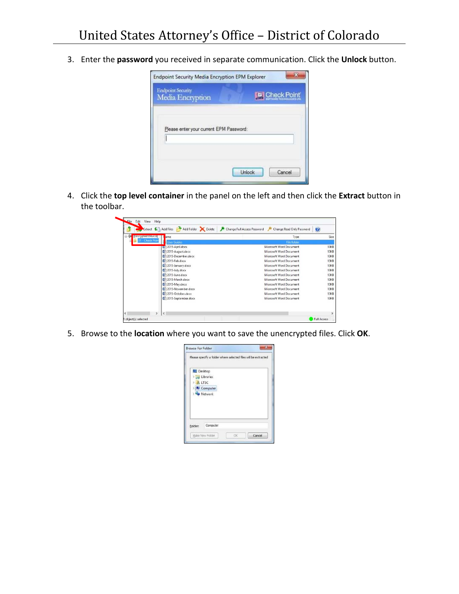3. Enter the **password** you received in separate communication. Click the **Unlock** button.



4. Click the **top level container** in the panel on the left and then click the **Extract** button in the toolbar.



5. Browse to the **location** where you want to save the unencrypted files. Click **OK**.

| Desktop<br><b>Digital Libraries</b><br><b>ALTSC</b><br>b<br><b>LA Computer</b><br><b>Network</b> | Please specify a folder where selected files will be extracted |
|--------------------------------------------------------------------------------------------------|----------------------------------------------------------------|
|                                                                                                  |                                                                |
|                                                                                                  |                                                                |
|                                                                                                  |                                                                |
|                                                                                                  |                                                                |
|                                                                                                  |                                                                |
|                                                                                                  |                                                                |
| Computer<br>Folder:                                                                              |                                                                |